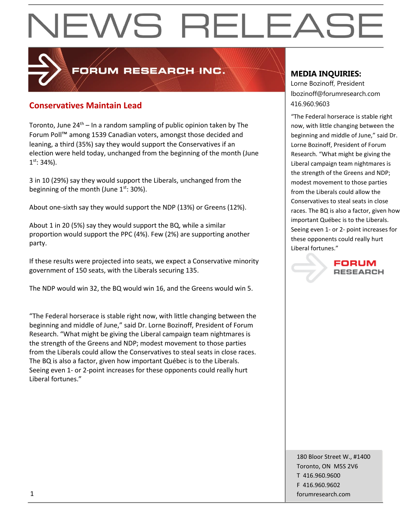### **Conservatives Maintain Lead** 416.960.9603

Toronto, June  $24<sup>th</sup> - In a random sampling of public opinion taken by The$ Forum Poll™ among 1539 Canadian voters, amongst those decided and leaning, a third (35%) say they would support the Conservatives if an election were held today, unchanged from the beginning of the month (June  $1<sup>st</sup>$ : 34%).

**PORUM RESEARCH INC.** 

3 in 10 (29%) say they would support the Liberals, unchanged from the beginning of the month (June  $1^{st}$ : 30%).

About one-sixth say they would support the NDP (13%) or Greens (12%).

About 1 in 20 (5%) say they would support the BQ, while a similar proportion would support the PPC (4%). Few (2%) are supporting another party.

If these results were projected into seats, we expect a Conservative minority government of 150 seats, with the Liberals securing 135.

The NDP would win 32, the BQ would win 16, and the Greens would win 5.

"The Federal horserace is stable right now, with little changing between the beginning and middle of June," said Dr. Lorne Bozinoff, President of Forum Research. "What might be giving the Liberal campaign team nightmares is the strength of the Greens and NDP; modest movement to those parties from the Liberals could allow the Conservatives to steal seats in close races. The BQ is also a factor, given how important Québec is to the Liberals. Seeing even 1- or 2-point increases for these opponents could really hurt Liberal fortunes."

#### **MEDIA INQUIRIES:**

Lorne Bozinoff, President lbozinoff@forumresearch.com

"The Federal horserace is stable right now, with little changing between the beginning and middle of June," said Dr. Lorne Bozinoff, President of Forum Research. "What might be giving the Liberal campaign team nightmares is the strength of the Greens and NDP; modest movement to those parties from the Liberals could allow the Conservatives to steal seats in close races. The BQ is also a factor, given how important Québec is to the Liberals. Seeing even 1- or 2- point increases for these opponents could really hurt Liberal fortunes."

> FORUM **RESEARCH**

180 Bloor Street W., #1400 Toronto, ON M5S 2V6 T 416.960.9600 F 416.960.9602 1 forumresearch.com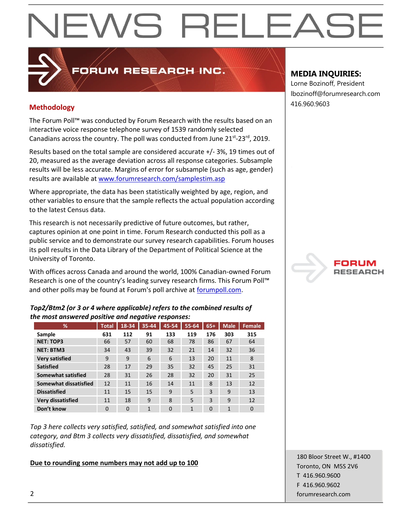### 416.960.9603 **Methodology**

The Forum Poll™ was conducted by Forum Research with the results based on an interactive voice response telephone survey of 1539 randomly selected Canadians across the country. The poll was conducted from June  $21^{st}$ - $23^{rd}$ , 2019.

**PRUM RESEARCH INC.** 

Results based on the total sample are considered accurate +/- 3%, 19 times out of 20, measured as the average deviation across all response categories. Subsample results will be less accurate. Margins of error for subsample (such as age, gender) results are available a[t www.forumresearch.com/samplestim.asp](http://www.forumresearch.com/samplestim.asp)

Where appropriate, the data has been statistically weighted by age, region, and other variables to ensure that the sample reflects the actual population according to the latest Census data.

This research is not necessarily predictive of future outcomes, but rather, captures opinion at one point in time. Forum Research conducted this poll as a public service and to demonstrate our survey research capabilities. Forum houses its poll results in the Data Library of the Department of Political Science at the University of Toronto.

With offices across Canada and around the world, 100% Canadian-owned Forum Research is one of the country's leading survey research firms. This Forum Poll™ and other polls may be found at Forum's poll archive at [forumpoll.com.](file:///C:/Users/gmilakovic/Dropbox/Forum%20Poll%20Temporary/2017/November/TO/Releases/forumpoll.com)

#### *Top2/Btm2 (or 3 or 4 where applicable) refers to the combined results of the most answered positive and negative responses:*

| %                        | <b>Total</b> | 18-34    | 35-44 | 45-54    | $55 - 64$      | $65+$    | Male <sup>'</sup> | Female   |
|--------------------------|--------------|----------|-------|----------|----------------|----------|-------------------|----------|
| Sample                   | 631          | 112      | 91    | 133      | 119            | 176      | 303               | 315      |
| <b>NET: TOP3</b>         | 66           | 57       | 60    | 68       | 78             | 86       | 67                | 64       |
| <b>NET: BTM3</b>         | 34           | 43       | 39    | 32       | 21             | 14       | 32                | 36       |
| <b>Very satisfied</b>    | 9            | 9        | 6     | 6        | 13             | 20       | 11                | 8        |
| <b>Satisfied</b>         | 28           | 17       | 29    | 35       | 32             | 45       | 25                | 31       |
| Somewhat satisfied       | 28           | 31       | 26    | 28       | 32             | 20       | 31                | 25       |
| Somewhat dissatisfied    | 12           | 11       | 16    | 14       | 11             | 8        | 13                | 12       |
| <b>Dissatisfied</b>      | 11           | 15       | 15    | 9        | 5              | 3        | 9                 | 13       |
| <b>Very dissatisfied</b> | 11           | 18       | 9     | 8        | 5              | 3        | 9                 | 12       |
| Don't know               | $\Omega$     | $\Omega$ | 1     | $\Omega$ | $\overline{1}$ | $\Omega$ | $\mathbf{1}$      | $\Omega$ |

*Top 3 here collects very satisfied, satisfied, and somewhat satisfied into one category, and Btm 3 collects very dissatisfied, dissatisfied, and somewhat dissatisfied.* 

#### **Due to rounding some numbers may not add up to 100**

### **MEDIA INQUIRIES:**

Lorne Bozinoff, President lbozinoff@forumresearch.com



180 Bloor Street W., #1400 Toronto, ON M5S 2V6 T 416.960.9600 F 416.960.9602 2 forumresearch.com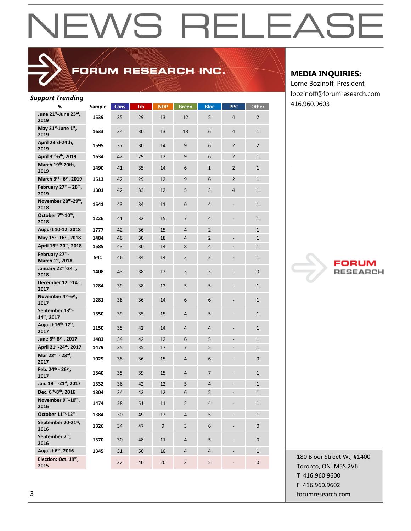### FORUM RESEARCH INC.

#### *Support Trending*

| upport richanig<br>%                                 | Sample | <b>Cons</b> | Lib | <b>NDP</b> | Green          | <b>Bloc</b>    | <b>PPC</b>               | Other          |
|------------------------------------------------------|--------|-------------|-----|------------|----------------|----------------|--------------------------|----------------|
| June 21 <sup>st</sup> -June 23rd,                    |        |             |     |            |                |                |                          |                |
| 2019                                                 | 1539   | 35          | 29  | 13         | 12             | 5              | 4                        | 2              |
| May 31 <sup>st</sup> -June 1 <sup>st</sup> ,<br>2019 | 1633   | 34          | 30  | 13         | 13             | 6              | 4                        | $\mathbf{1}$   |
| April 23rd-24th,<br>2019                             | 1595   | 37          | 30  | 14         | 9              | 6              | 2                        | 2              |
| April 3rd-6th, 2019                                  | 1634   | 42          | 29  | 12         | 9              | 6              | $\overline{2}$           | $\mathbf{1}$   |
| March 19th-20th,<br>2019                             | 1490   | 41          | 35  | 14         | 6              | $\mathbf{1}$   | $\overline{2}$           | $\mathbf{1}$   |
| March 3rd - 6th, 2019                                | 1513   | 42          | 29  | 12         | 9              | 6              | $\overline{2}$           | $\mathbf{1}$   |
| February 27th - 28th,<br>2019                        | 1301   | 42          | 33  | 12         | 5              | 3              | 4                        | $\mathbf{1}$   |
| November 28th-29th,<br>2018                          | 1541   | 43          | 34  | 11         | 6              | 4              | $\overline{\phantom{m}}$ | 1              |
| October 7th-10th,<br>2018                            | 1226   | 41          | 32  | 15         | $\overline{7}$ | 4              |                          | 1              |
| August 10-12, 2018                                   | 1777   | 42          | 36  | 15         | 4              | 2              | $\overline{\phantom{a}}$ | $\mathbf{1}$   |
| May 15th-16th, 2018                                  | 1484   | 46          | 30  | 18         | 4              | $\overline{2}$ | $\overline{a}$           | $\mathbf{1}$   |
| April 19th-20th, 2018                                | 1585   | 43          | 30  | 14         | 8              | 4              |                          | $\mathbf{1}$   |
| February 27th-<br>March 1st, 2018                    | 941    | 46          | 34  | 14         | 3              | $\overline{2}$ |                          | $\mathbf{1}$   |
| January 22nd-24th,<br>2018                           | 1408   | 43          | 38  | 12         | 3              | 3              |                          | $\overline{0}$ |
| December 12th-14th,<br>2017                          | 1284   | 39          | 38  | 12         | 5              | 5              |                          | $\mathbf{1}$   |
| November 4 <sup>th</sup> -6 <sup>th</sup> ,<br>2017  | 1281   | 38          | 36  | 14         | 6              | 6              |                          | $\mathbf{1}$   |
| September 13th<br>14th, 2017                         | 1350   | 39          | 35  | 15         | 4              | 5              |                          | $\mathbf{1}$   |
| August 16th-17th,<br>2017                            | 1150   | 35          | 42  | 14         | 4              | 4              | -                        | $\mathbf{1}$   |
| June 6 <sup>th</sup> -8 <sup>th</sup> , 2017         | 1483   | 34          | 42  | 12         | 6              | 5              | $\overline{a}$           | $\mathbf{1}$   |
| April 21st-24th, 2017                                | 1479   | 35          | 35  | 17         | $\overline{7}$ | 5              | $\overline{\phantom{a}}$ | $\mathbf{1}$   |
| Mar 22nd - 23rd,<br>2017                             | 1029   | 38          | 36  | 15         | 4              | 6              | $\overline{\phantom{m}}$ | 0              |
| Feb. 24th - 26th,<br>2017                            | 1340   | 35          | 39  | 15         | 4              | $\overline{7}$ | $\overline{\phantom{m}}$ | $\mathbf{1}$   |
| Jan. 19th - 21st, 2017                               | 1332   | 36          | 42  | 12         | 5              | 4              |                          | $\mathbf{1}$   |
| Dec. 6th-8th, 2016                                   | 1304   | 34          | 42  | 12         | 6              | 5              |                          | $\mathbf{1}$   |
| November 9th-10th,<br>2016                           | 1474   | 28          | 51  | 11         | 5              | 4              | $\overline{\phantom{0}}$ | $\mathbf{1}$   |
| October 11 <sup>th</sup> -12 <sup>th</sup>           | 1384   | 30          | 49  | 12         | 4              | 5              | $\blacksquare$           | $\mathbf{1}$   |
| September 20-21st,<br>2016                           | 1326   | 34          | 47  | 9          | 3              | 6              | $\overline{\phantom{0}}$ | $\mathbf{0}$   |
| September 7th,<br>2016                               | 1370   | 30          | 48  | 11         | 4              | 5              |                          | $\mathbf 0$    |
| August 6th, 2016                                     | 1345   | 31          | 50  | 10         | $\overline{4}$ | $\overline{4}$ | $\overline{\phantom{a}}$ | $\mathbf{1}$   |
| Election: Oct. 19th,<br>2015                         |        | 32          | 40  | 20         | 3              | 5              | $\overline{\phantom{0}}$ | 0              |

#### **MEDIA INQUIRIES:**

Lorne Bozinoff, President lbozinoff@forumresearch.com 416.960.9603



180 Bloor Street W., #1400 Toronto, ON M5S 2V6 T 416.960.9600 F 416.960.9602 3 forumresearch.com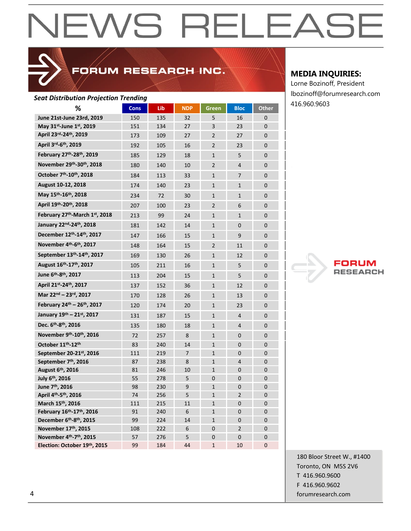### FORUM RESEARCH INC.

#### *Seat Distribution Projection Trending*

| ℅                                                  | <b>Cons</b> | Lib | <b>NDP</b>     | Green          | <b>Bloc</b>    | <b>Other</b>   |
|----------------------------------------------------|-------------|-----|----------------|----------------|----------------|----------------|
| June 21st-June 23rd, 2019                          | 150         | 135 | 32             | 5              | 16             | $\overline{0}$ |
| May 31 <sup>st</sup> -June 1st, 2019               | 151         | 134 | 27             | 3              | 23             | $\overline{0}$ |
| April 23rd-24th, 2019                              | 173         | 109 | 27             | $\overline{2}$ | 27             | 0              |
| April 3rd-6th, 2019                                | 192         | 105 | 16             | $\overline{2}$ | 23             | $\overline{0}$ |
| February 27 <sup>th</sup> -28 <sup>th</sup> , 2019 | 185         | 129 | 18             | $\mathbf{1}$   | 5              | $\overline{0}$ |
| November 29th-30th, 2018                           | 180         | 140 | 10             | $\overline{2}$ | 4              | $\overline{0}$ |
| October 7 <sup>th</sup> -10 <sup>th</sup> , 2018   | 184         | 113 | 33             | $\mathbf{1}$   | $\overline{7}$ | $\overline{0}$ |
| August 10-12, 2018                                 | 174         | 140 | 23             | $\mathbf{1}$   | $\mathbf{1}$   | $\mathbf{0}$   |
| May 15 <sup>th</sup> -16 <sup>th</sup> , 2018      | 234         | 72  | 30             | $\mathbf{1}$   | $\mathbf{1}$   | $\overline{0}$ |
| April 19th-20th, 2018                              | 207         | 100 | 23             | $\overline{2}$ | 6              | $\mathbf 0$    |
| February 27 <sup>th</sup> -March 1st, 2018         | 213         | 99  | 24             | $\mathbf{1}$   | $\mathbf{1}$   | $\overline{0}$ |
| January 22nd-24th, 2018                            | 181         | 142 | 14             | $\mathbf{1}$   | $\overline{0}$ | $\overline{0}$ |
| December 12 <sup>th</sup> -14 <sup>th</sup> , 2017 | 147         | 166 | 15             | $\mathbf{1}$   | 9              | $\overline{0}$ |
| November 4th-6th, 2017                             | 148         | 164 | 15             | $\overline{2}$ | 11             | $\overline{0}$ |
| September 13th-14th, 2017                          | 169         | 130 | 26             | $\mathbf{1}$   | 12             | $\Omega$       |
| August 16 <sup>th</sup> -17 <sup>th</sup> , 2017   | 105         | 211 | 16             | $\mathbf{1}$   | 5              | $\overline{0}$ |
| June 6 <sup>th</sup> -8 <sup>th</sup> , 2017       | 113         | 204 | 15             | $\mathbf{1}$   | 5              | $\overline{0}$ |
| April 21st-24th, 2017                              | 137         | 152 | 36             | $\mathbf{1}$   | 12             | $\overline{0}$ |
| Mar 22nd - 23rd, 2017                              | 170         | 128 | 26             | $\mathbf{1}$   | 13             | $\overline{0}$ |
| February 24th - 26th, 2017                         | 120         | 174 | 20             | $\mathbf{1}$   | 23             | 0              |
| January 19th - 21st, 2017                          | 131         | 187 | 15             | $\mathbf{1}$   | 4              | 0              |
| Dec. 6 <sup>th</sup> -8 <sup>th</sup> , 2016       | 135         | 180 | 18             | $\mathbf{1}$   | 4              | $\overline{0}$ |
| November 9th-10th, 2016                            | 72          | 257 | 8              | $\mathbf{1}$   | 0              | $\mathbf 0$    |
| October 11th-12th                                  | 83          | 240 | 14             | $\mathbf{1}$   | 0              | $\mathbf 0$    |
| September 20-21st, 2016                            | 111         | 219 | $\overline{7}$ | $\mathbf{1}$   | 0              | $\overline{0}$ |
| September 7th, 2016                                | 87          | 238 | 8              | $\mathbf{1}$   | 4              | 0              |
| August 6 <sup>th</sup> , 2016                      | 81          | 246 | 10             | $\mathbf{1}$   | 0              | $\overline{0}$ |
| July 6 <sup>th</sup> , 2016                        | 55          | 278 | 5              | 0              | 0              | $\overline{0}$ |
| June 7 <sup>th</sup> , 2016                        | 98          | 230 | 9              | $\mathbf{1}$   | 0              | $\overline{0}$ |
| April 4th-5th, 2016                                | 74          | 256 | 5              | $\mathbf{1}$   | $\overline{2}$ | 0              |
| March 15 <sup>th</sup> , 2016                      | 111         | 215 | 11             | $\mathbf{1}$   | 0              | $\overline{0}$ |
| February 16th-17th, 2016                           | 91          | 240 | 6              | $\mathbf{1}$   | 0              | $\mathbf 0$    |
| December 6th-8th, 2015                             | 99          | 224 | 14             | $\mathbf{1}$   | 0              | $\overline{0}$ |
| November 17th, 2015                                | 108         | 222 | 6              | 0              | $\overline{2}$ | $\overline{0}$ |
| November 4 <sup>th</sup> -7 <sup>th</sup> , 2015   | 57          | 276 | 5              | $\overline{0}$ | $\overline{0}$ | $\overline{0}$ |
| Election: October 19th, 2015                       | 99          | 184 | 44             | $\mathbf{1}$   | 10             | $\overline{0}$ |

#### **MEDIA INQUIRIES:**

Lorne Bozinoff, President lbozinoff@forumresearch.com 416.960.9603



180 Bloor Street W., #1400 Toronto, ON M5S 2V6 T 416.960.9600 F 416.960.9602 4 forumresearch.com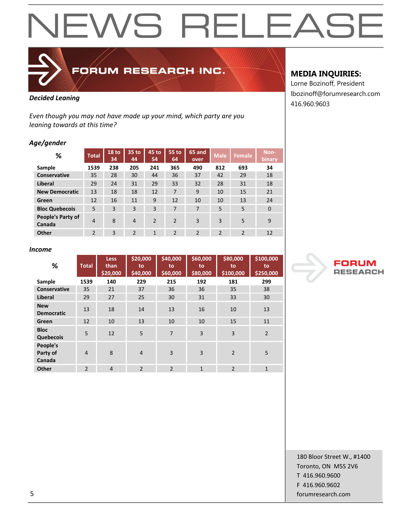

FORUM RESEARCH INC.

#### *Decided Leaning*

*Even though you may not have made up your mind, which party are you leaning towards at this time?*

#### *Age/gender*

| %                           | <b>Total</b>   | 18 to<br>34 | 35 to<br>44    | 45 to<br>54   | 55 to<br>64   | 65 and<br>over           | <b>Male</b>    | Female         | Non-<br>binary |
|-----------------------------|----------------|-------------|----------------|---------------|---------------|--------------------------|----------------|----------------|----------------|
| Sample                      | 1539           | 238         | 205            | 241           | 365           | 490                      | 812            | 693            | 34             |
| Conservative                | 35             | 28          | 30             | 44            | 36            | 37                       | 42             | 29             | 18             |
| Liberal                     | 29             | 24          | 31             | 29            | 33            | 32                       | 28             | 31             | 18             |
| <b>New Democratic</b>       | 13             | 18          | 18             | 12            | 7             | 9                        | 10             | 15             | 21             |
| Green                       | 12             | 16          | 11             | 9             | 12            | 10                       | 10             | 13             | 24             |
| <b>Bloc Quebecois</b>       | 5              | 3           | 3              | 3             | 7             | 7                        | 5              | 5              | $\mathbf 0$    |
| People's Party of<br>Canada | 4              | 8           | $\overline{4}$ | $\mathcal{P}$ | $\mathcal{P}$ | $\overline{3}$           | 3              | 5              | 9              |
| Other                       | $\mathfrak{p}$ | 3           | $\mathfrak{p}$ | 1             | 2             | $\overline{\phantom{a}}$ | $\overline{2}$ | $\overline{2}$ | 12             |

#### *Income*

| %                               | <b>Total</b>   | <b>Less</b><br>than<br>\$20,000 | \$20,000<br>to<br>\$40,000 | \$40,000<br>to<br>\$60,000 | \$60,000<br>to<br>\$80,000 | \$80,000<br>to<br>\$100,000 | \$100,000<br>to<br>\$250,000 |
|---------------------------------|----------------|---------------------------------|----------------------------|----------------------------|----------------------------|-----------------------------|------------------------------|
| Sample                          | 1539           | 140                             | 229                        | 215                        | 192                        | 181                         | 299                          |
| <b>Conservative</b>             | 35             | 21                              | 37                         | 36                         | 36                         | 35                          | 38                           |
| <b>Liberal</b>                  | 29             | 27                              | 25                         | 30                         | 31                         | 33                          | 30                           |
| <b>New</b><br><b>Democratic</b> | 13             | 18                              | 14                         | 13                         | 16                         | 10                          | 13                           |
| Green                           | 12             | 10                              | 13                         | 10                         | 10                         | 15                          | 11                           |
| <b>Bloc</b><br>Quebecois        | 5              | 12                              | 5                          | $\overline{7}$             | $\overline{3}$             | 3                           | $\overline{2}$               |
| People's<br>Party of<br>Canada  | $\overline{4}$ | 8                               | $\overline{4}$             | 3                          | $\overline{3}$             | $\overline{2}$              | 5                            |
| Other                           | $\overline{2}$ | $\overline{4}$                  | $\overline{2}$             | $\overline{2}$             | $\mathbf{1}$               | $\overline{2}$              | $\mathbf{1}$                 |

#### **MEDIA INQUIRIES:**

Lorne Bozinoff, President lbozinoff@forumresearch.com 416.960.9603



180 Bloor Street W., #1400 Toronto, ON M5S 2V6 T 416.960.9600 F 416.960.9602 5 forumresearch.com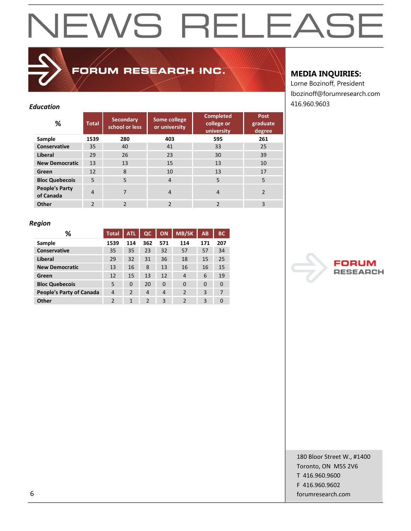| Education                          |                |                                    |                               |                                              |                                   | 416.960.9603 |
|------------------------------------|----------------|------------------------------------|-------------------------------|----------------------------------------------|-----------------------------------|--------------|
| %                                  | <b>Total</b>   | <b>Secondary</b><br>school or less | Some college<br>or university | <b>Completed</b><br>college or<br>university | <b>Post</b><br>graduate<br>degree |              |
| Sample                             | 1539           | 280                                | 403                           | 595                                          | 261                               |              |
| Conservative                       | 35             | 40                                 | 41                            | 33                                           | 25                                |              |
| Liberal                            | 29             | 26                                 | 23                            | 30                                           | 39                                |              |
| <b>New Democratic</b>              | 13             | 13                                 | 15                            | 13                                           | 10                                |              |
| Green                              | 12             | 8                                  | 10                            | 13                                           | 17                                |              |
| <b>Bloc Quebecois</b>              | 5              | 5                                  | $\overline{4}$                | 5                                            | 5                                 |              |
| <b>People's Party</b><br>of Canada | $\overline{4}$ | 7                                  | $\overline{4}$                | $\overline{4}$                               | $\overline{2}$                    |              |
| Other                              | $\overline{2}$ | $\mathfrak{p}$                     | $\mathfrak{p}$                | $\mathfrak{p}$                               | 3                                 |              |

FORUM RESEARCH INC.

#### **MEDIA INQUIRIES:**

Lorne Bozinoff, President lbozinoff@forumresearch.com

#### *Region*

| %                               | <b>Total</b>   | <b>ATL</b>     | $_{\alpha}$    | <b>ON</b>      | <b>MB/SK</b>   | AB       | <b>BC</b> |
|---------------------------------|----------------|----------------|----------------|----------------|----------------|----------|-----------|
| Sample                          | 1539           | 114            | 362            | 571            | 114            | 171      | 207       |
| <b>Conservative</b>             | 35             | 35             | 23             | 32             | 57             | 57       | 34        |
| <b>Liberal</b>                  | 29             | 32             | 31             | 36             | 18             | 15       | 25        |
| <b>New Democratic</b>           | 13             | 16             | 8              | 13             | 16             | 16       | 15        |
| Green                           | 12             | 15             | 13             | 12             | 4              | 6        | 19        |
| <b>Bloc Quebecois</b>           | 5              | 0              | 20             | $\Omega$       | $\Omega$       | $\Omega$ | 0         |
| <b>People's Party of Canada</b> | $\overline{4}$ | $\overline{2}$ | 4              | $\overline{4}$ | $\overline{2}$ | 3        | 7         |
| Other                           | $\overline{2}$ | $\mathbf{1}$   | $\overline{2}$ | 3              | $\overline{2}$ | 3        | 0         |



180 Bloor Street W., #1400 Toronto, ON M5S 2V6 T 416.960.9600 F 416.960.9602 6 forumresearch.com